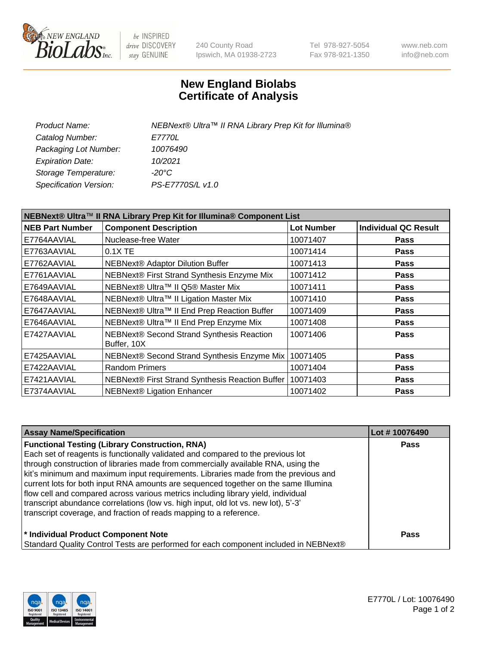

be INSPIRED drive DISCOVERY stay GENUINE

240 County Road Ipswich, MA 01938-2723 Tel 978-927-5054 Fax 978-921-1350 www.neb.com info@neb.com

## **New England Biolabs Certificate of Analysis**

| NEBNext® Ultra™ II RNA Library Prep Kit for Illumina® |
|-------------------------------------------------------|
| <i>E7770L</i>                                         |
| 10076490                                              |
| 10/2021                                               |
| -20°C                                                 |
| PS-E7770S/L v1.0                                      |
|                                                       |

| NEBNext® Ultra™ II RNA Library Prep Kit for Illumina® Component List |                                                            |                   |                             |  |
|----------------------------------------------------------------------|------------------------------------------------------------|-------------------|-----------------------------|--|
| <b>NEB Part Number</b>                                               | <b>Component Description</b>                               | <b>Lot Number</b> | <b>Individual QC Result</b> |  |
| E7764AAVIAL                                                          | Nuclease-free Water                                        | 10071407          | <b>Pass</b>                 |  |
| E7763AAVIAL                                                          | 0.1X TE                                                    | 10071414          | <b>Pass</b>                 |  |
| E7762AAVIAL                                                          | <b>NEBNext® Adaptor Dilution Buffer</b>                    | 10071413          | <b>Pass</b>                 |  |
| E7761AAVIAL                                                          | NEBNext® First Strand Synthesis Enzyme Mix                 | 10071412          | <b>Pass</b>                 |  |
| E7649AAVIAL                                                          | NEBNext® Ultra™ II Q5® Master Mix                          | 10071411          | <b>Pass</b>                 |  |
| E7648AAVIAL                                                          | NEBNext® Ultra™ II Ligation Master Mix                     | 10071410          | <b>Pass</b>                 |  |
| E7647AAVIAL                                                          | NEBNext® Ultra™ II End Prep Reaction Buffer                | 10071409          | <b>Pass</b>                 |  |
| E7646AAVIAL                                                          | NEBNext® Ultra™ II End Prep Enzyme Mix                     | 10071408          | <b>Pass</b>                 |  |
| E7427AAVIAL                                                          | NEBNext® Second Strand Synthesis Reaction<br>Buffer, 10X   | 10071406          | <b>Pass</b>                 |  |
| E7425AAVIAL                                                          | NEBNext® Second Strand Synthesis Enzyme Mix                | 10071405          | <b>Pass</b>                 |  |
| E7422AAVIAL                                                          | <b>Random Primers</b>                                      | 10071404          | <b>Pass</b>                 |  |
| E7421AAVIAL                                                          | NEBNext® First Strand Synthesis Reaction Buffer   10071403 |                   | <b>Pass</b>                 |  |
| E7374AAVIAL                                                          | <b>NEBNext® Ligation Enhancer</b>                          | 10071402          | <b>Pass</b>                 |  |

| <b>Assay Name/Specification</b>                                                      | Lot #10076490 |
|--------------------------------------------------------------------------------------|---------------|
| <b>Functional Testing (Library Construction, RNA)</b>                                | <b>Pass</b>   |
| Each set of reagents is functionally validated and compared to the previous lot      |               |
| through construction of libraries made from commercially available RNA, using the    |               |
| kit's minimum and maximum input requirements. Libraries made from the previous and   |               |
| current lots for both input RNA amounts are sequenced together on the same Illumina  |               |
| flow cell and compared across various metrics including library yield, individual    |               |
| transcript abundance correlations (low vs. high input, old lot vs. new lot), 5'-3'   |               |
| transcript coverage, and fraction of reads mapping to a reference.                   |               |
| * Individual Product Component Note                                                  | Pass          |
| Standard Quality Control Tests are performed for each component included in NEBNext® |               |